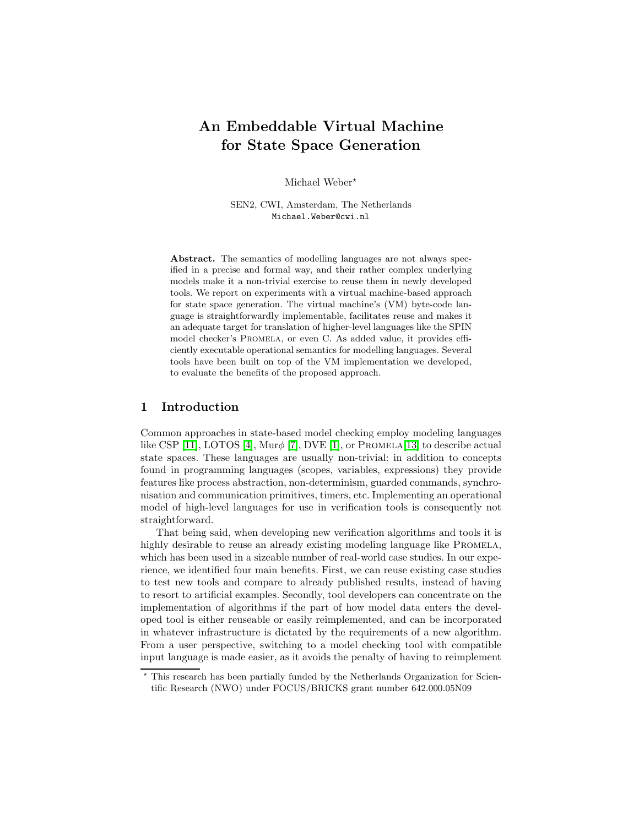# An Embeddable Virtual Machine for State Space Generation

Michael Weber<sup>\*</sup>

SEN2, CWI, Amsterdam, The Netherlands Michael.Weber@cwi.nl

Abstract. The semantics of modelling languages are not always specified in a precise and formal way, and their rather complex underlying models make it a non-trivial exercise to reuse them in newly developed tools. We report on experiments with a virtual machine-based approach for state space generation. The virtual machine's (VM) byte-code language is straightforwardly implementable, facilitates reuse and makes it an adequate target for translation of higher-level languages like the SPIN model checker's PROMELA, or even C. As added value, it provides efficiently executable operational semantics for modelling languages. Several tools have been built on top of the VM implementation we developed, to evaluate the benefits of the proposed approach.

# 1 Introduction

Common approaches in state-based model checking employ modeling languages like CSP [\[11\]](#page-16-0), LOTOS [\[4\]](#page-15-0), Mur $\phi$  [\[7\]](#page-16-1), DVE [\[1\]](#page-15-1), or PROMELA [\[13\]](#page-16-2) to describe actual state spaces. These languages are usually non-trivial: in addition to concepts found in programming languages (scopes, variables, expressions) they provide features like process abstraction, non-determinism, guarded commands, synchronisation and communication primitives, timers, etc. Implementing an operational model of high-level languages for use in verification tools is consequently not straightforward.

That being said, when developing new verification algorithms and tools it is highly desirable to reuse an already existing modeling language like PROMELA, which has been used in a sizeable number of real-world case studies. In our experience, we identified four main benefits. First, we can reuse existing case studies to test new tools and compare to already published results, instead of having to resort to artificial examples. Secondly, tool developers can concentrate on the implementation of algorithms if the part of how model data enters the developed tool is either reuseable or easily reimplemented, and can be incorporated in whatever infrastructure is dictated by the requirements of a new algorithm. From a user perspective, switching to a model checking tool with compatible input language is made easier, as it avoids the penalty of having to reimplement

<sup>⋆</sup> This research has been partially funded by the Netherlands Organization for Scientific Research (NWO) under FOCUS/BRICKS grant number 642.000.05N09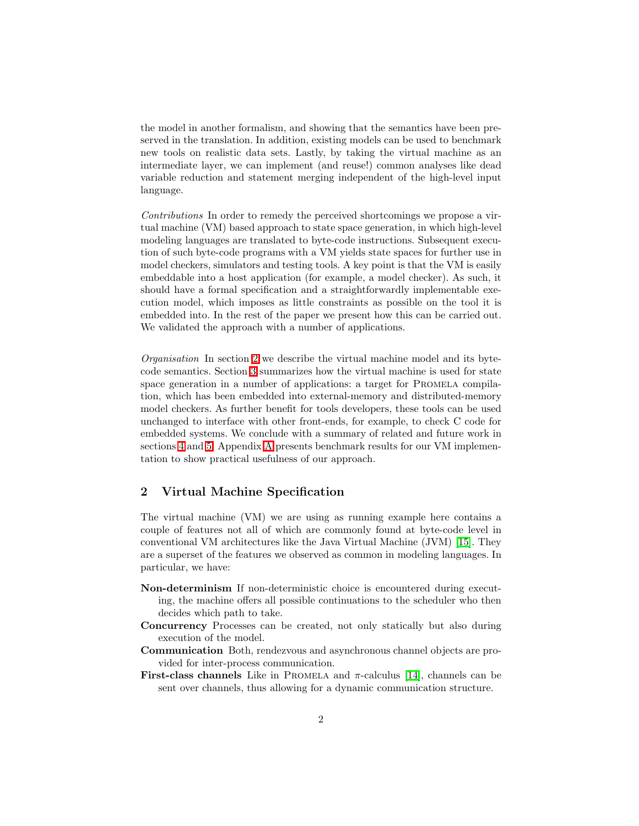the model in another formalism, and showing that the semantics have been preserved in the translation. In addition, existing models can be used to benchmark new tools on realistic data sets. Lastly, by taking the virtual machine as an intermediate layer, we can implement (and reuse!) common analyses like dead variable reduction and statement merging independent of the high-level input language.

Contributions In order to remedy the perceived shortcomings we propose a virtual machine (VM) based approach to state space generation, in which high-level modeling languages are translated to byte-code instructions. Subsequent execution of such byte-code programs with a VM yields state spaces for further use in model checkers, simulators and testing tools. A key point is that the VM is easily embeddable into a host application (for example, a model checker). As such, it should have a formal specification and a straightforwardly implementable execution model, which imposes as little constraints as possible on the tool it is embedded into. In the rest of the paper we present how this can be carried out. We validated the approach with a number of applications.

Organisation In section [2](#page-1-0) we describe the virtual machine model and its bytecode semantics. Section [3](#page-10-0) summarizes how the virtual machine is used for state space generation in a number of applications: a target for PROMELA compilation, which has been embedded into external-memory and distributed-memory model checkers. As further benefit for tools developers, these tools can be used unchanged to interface with other front-ends, for example, to check C code for embedded systems. We conclude with a summary of related and future work in sections [4](#page-13-0) and [5.](#page-15-2) Appendix [A](#page-17-0) presents benchmark results for our VM implementation to show practical usefulness of our approach.

# <span id="page-1-0"></span>2 Virtual Machine Specification

The virtual machine (VM) we are using as running example here contains a couple of features not all of which are commonly found at byte-code level in conventional VM architectures like the Java Virtual Machine (JVM) [\[15\]](#page-16-3). They are a superset of the features we observed as common in modeling languages. In particular, we have:

- Non-determinism If non-deterministic choice is encountered during executing, the machine offers all possible continuations to the scheduler who then decides which path to take.
- Concurrency Processes can be created, not only statically but also during execution of the model.
- Communication Both, rendezvous and asynchronous channel objects are provided for inter-process communication.
- First-class channels Like in PROMELA and  $\pi$ -calculus [\[14\]](#page-16-4), channels can be sent over channels, thus allowing for a dynamic communication structure.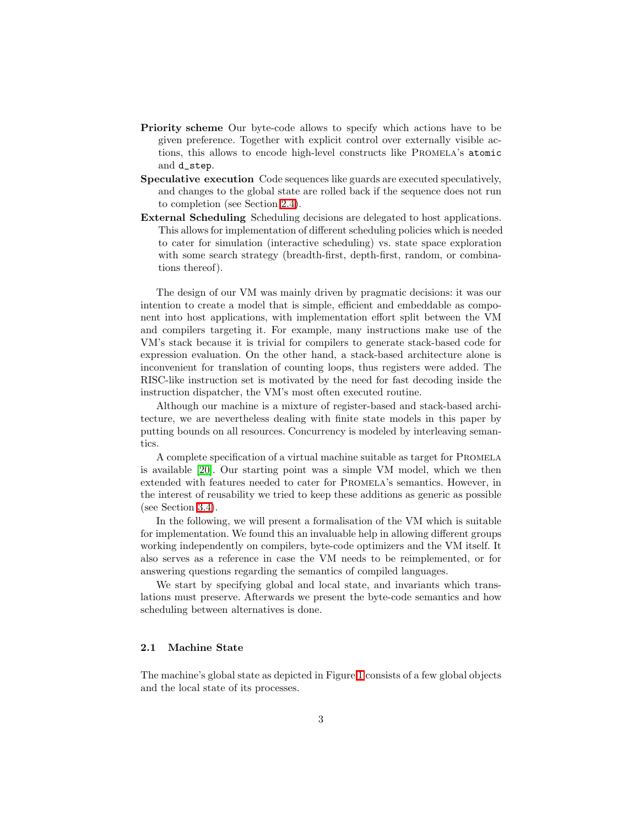- Priority scheme Our byte-code allows to specify which actions have to be given preference. Together with explicit control over externally visible actions, this allows to encode high-level constructs like Promela's atomic and d\_step.
- Speculative execution Code sequences like guards are executed speculatively, and changes to the global state are rolled back if the sequence does not run to completion (see Section [2.4\)](#page-8-0).
- External Scheduling Scheduling decisions are delegated to host applications. This allows for implementation of different scheduling policies which is needed to cater for simulation (interactive scheduling) vs. state space exploration with some search strategy (breadth-first, depth-first, random, or combinations thereof).

The design of our VM was mainly driven by pragmatic decisions: it was our intention to create a model that is simple, efficient and embeddable as component into host applications, with implementation effort split between the VM and compilers targeting it. For example, many instructions make use of the VM's stack because it is trivial for compilers to generate stack-based code for expression evaluation. On the other hand, a stack-based architecture alone is inconvenient for translation of counting loops, thus registers were added. The RISC-like instruction set is motivated by the need for fast decoding inside the instruction dispatcher, the VM's most often executed routine.

Although our machine is a mixture of register-based and stack-based architecture, we are nevertheless dealing with finite state models in this paper by putting bounds on all resources. Concurrency is modeled by interleaving semantics.

A complete specification of a virtual machine suitable as target for Promela is available [\[20\]](#page-16-5). Our starting point was a simple VM model, which we then extended with features needed to cater for Promela's semantics. However, in the interest of reusability we tried to keep these additions as generic as possible (see Section [3.4\)](#page-12-0).

In the following, we will present a formalisation of the VM which is suitable for implementation. We found this an invaluable help in allowing different groups working independently on compilers, byte-code optimizers and the VM itself. It also serves as a reference in case the VM needs to be reimplemented, or for answering questions regarding the semantics of compiled languages.

We start by specifying global and local state, and invariants which translations must preserve. Afterwards we present the byte-code semantics and how scheduling between alternatives is done.

#### 2.1 Machine State

The machine's global state as depicted in Figure [1](#page-3-0) consists of a few global objects and the local state of its processes.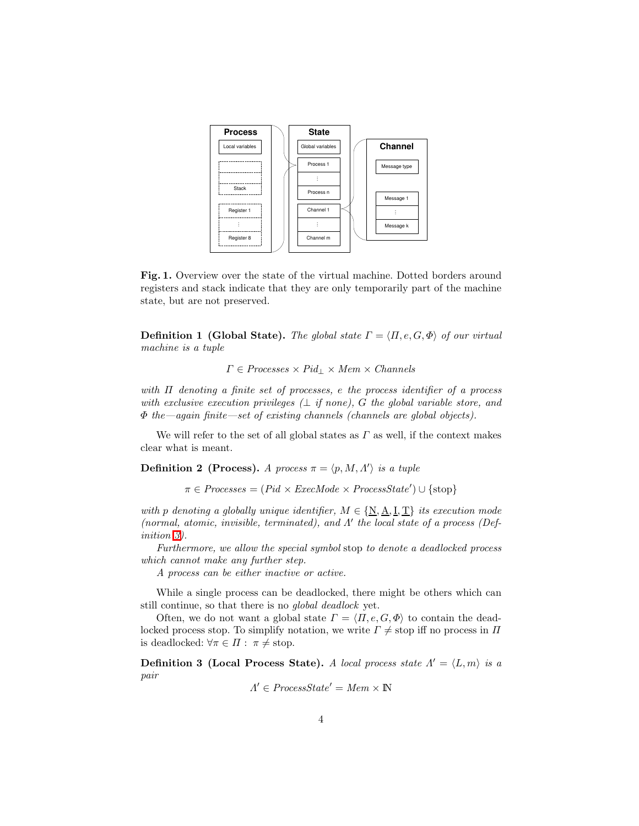

<span id="page-3-0"></span>Fig. 1. Overview over the state of the virtual machine. Dotted borders around registers and stack indicate that they are only temporarily part of the machine state, but are not preserved.

**Definition 1 (Global State).** The global state  $\Gamma = \langle \Pi, e, G, \Phi \rangle$  of our virtual machine is a tuple

 $\Gamma \in Processes \times Pid_+ \times Mem \times Channels$ 

with  $\Pi$  denoting a finite set of processes, e the process identifier of a process with exclusive execution privileges  $(\perp$  if none), G the global variable store, and  $\Phi$  the—again finite—set of existing channels (channels are global objects).

We will refer to the set of all global states as  $\Gamma$  as well, if the context makes clear what is meant.

**Definition 2 (Process).** A process  $\pi = \langle p, M, A' \rangle$  is a tuple

 $\pi \in Processes = (Pid \times ExcelMode \times Processes') \cup \{stop\}$ 

with p denoting a globally unique identifier,  $M \in \{N, \underline{A}, I, \underline{T}\}$  its execution mode (normal, atomic, invisible, terminated), and  $\Lambda'$  the local state of a process (Definition [3\)](#page-3-1).

Furthermore, we allow the special symbol stop to denote a deadlocked process which cannot make any further step.

A process can be either inactive or active.

While a single process can be deadlocked, there might be others which can still continue, so that there is no *global deadlock* yet.

Often, we do not want a global state  $\Gamma = \langle \Pi, e, G, \Phi \rangle$  to contain the deadlocked process stop. To simplify notation, we write  $\Gamma \neq \text{stop}$  iff no process in  $\Pi$ is deadlocked:  $\forall \pi \in \Pi : \pi \neq \text{stop.}$ 

<span id="page-3-1"></span>Definition 3 (Local Process State). A local process state  $\Lambda' = \langle L, m \rangle$  is a pair

 $\Lambda' \in ProcessState' = Mem \times \mathbb{N}$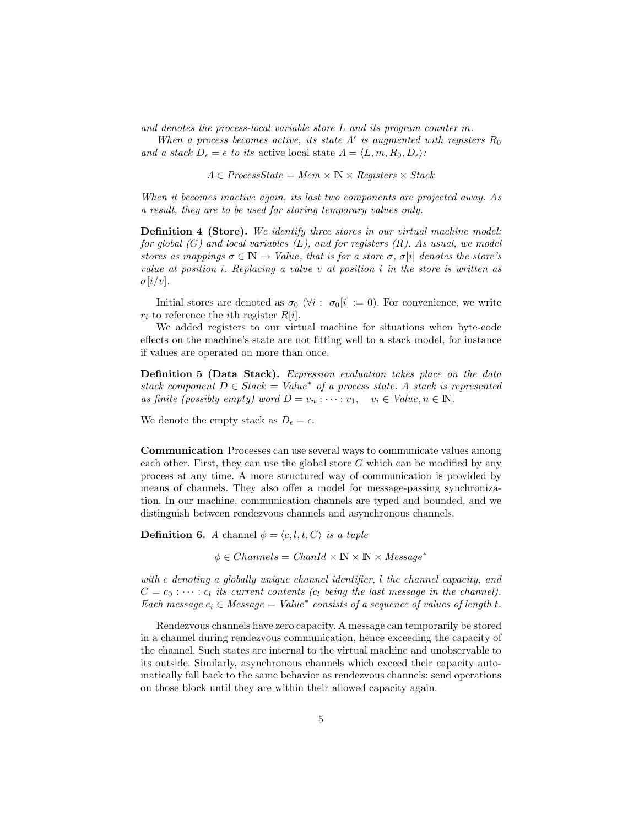and denotes the process-local variable store L and its program counter m.

When a process becomes active, its state  $\Lambda'$  is augmented with registers  $R_0$ and a stack  $D_{\epsilon} = \epsilon$  to its active local state  $\Lambda = \langle L, m, R_0, D_{\epsilon} \rangle$ :

 $\Lambda \in ProcessState = Mem \times \mathbb{N} \times Registers \times Stack$ 

When it becomes inactive again, its last two components are projected away. As a result, they are to be used for storing temporary values only.

Definition 4 (Store). We identify three stores in our virtual machine model: for global  $(G)$  and local variables  $(L)$ , and for registers  $(R)$ . As usual, we model stores as mappings  $\sigma \in \mathbb{N} \to \text{Value}$ , that is for a store  $\sigma$ ,  $\sigma[i]$  denotes the store's value at position i. Replacing a value v at position i in the store is written as  $\sigma[i/v]$ .

Initial stores are denoted as  $\sigma_0$  ( $\forall i : \sigma_0[i] := 0$ ). For convenience, we write  $r_i$  to reference the *i*th register  $R[i]$ .

We added registers to our virtual machine for situations when byte-code effects on the machine's state are not fitting well to a stack model, for instance if values are operated on more than once.

Definition 5 (Data Stack). Expression evaluation takes place on the data stack component  $D \in Stack = Value^*$  of a process state. A stack is represented as finite (possibly empty) word  $D = v_n : \cdots : v_1, v_i \in Value, n \in \mathbb{N}$ .

We denote the empty stack as  $D_{\epsilon} = \epsilon$ .

Communication Processes can use several ways to communicate values among each other. First, they can use the global store  $G$  which can be modified by any process at any time. A more structured way of communication is provided by means of channels. They also offer a model for message-passing synchronization. In our machine, communication channels are typed and bounded, and we distinguish between rendezvous channels and asynchronous channels.

**Definition 6.** A channel  $\phi = \langle c, l, t, C \rangle$  is a tuple

 $\phi \in Channels = Channel \times \mathbb{N} \times \text{Message}^*$ 

with c denoting a globally unique channel identifier, *l* the channel capacity, and  $C = c_0 : \cdots : c_l$  its current contents ( $c_l$  being the last message in the channel). Each message  $c_i \in Message = Value^*$  consists of a sequence of values of length t.

Rendezvous channels have zero capacity. A message can temporarily be stored in a channel during rendezvous communication, hence exceeding the capacity of the channel. Such states are internal to the virtual machine and unobservable to its outside. Similarly, asynchronous channels which exceed their capacity automatically fall back to the same behavior as rendezvous channels: send operations on those block until they are within their allowed capacity again.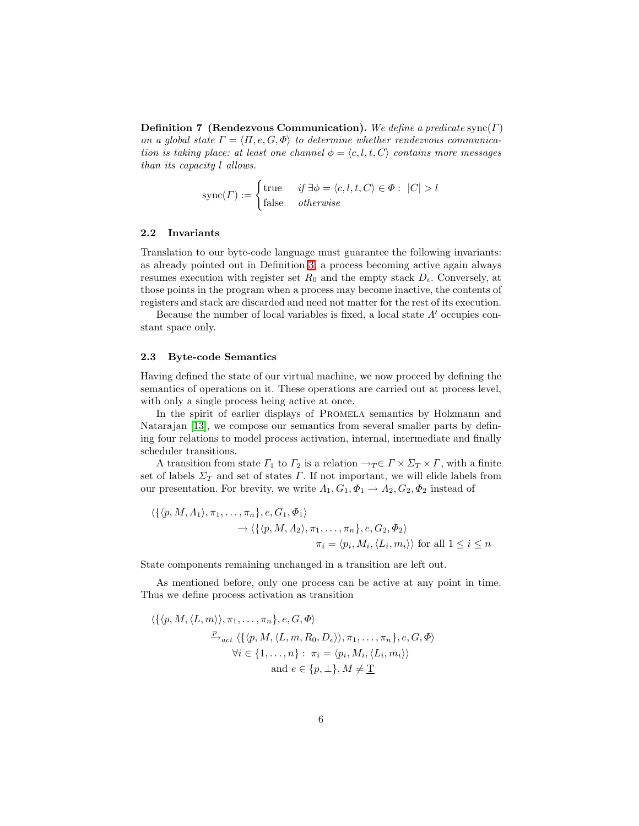**Definition 7** (Rendezvous Communication). We define a predicate sync $(\Gamma)$ on a global state  $\Gamma = \langle \Pi, e, G, \Phi \rangle$  to determine whether rendezvous communication is taking place: at least one channel  $\phi = \langle c, l, t, C \rangle$  contains more messages than its capacity l allows.

$$
sync(\Gamma) := \begin{cases} \text{true} & \text{if } \exists \phi = \langle c, l, t, C \rangle \in \Phi : |C| > l \\ \text{false} & otherwise \end{cases}
$$

#### 2.2 Invariants

Translation to our byte-code language must guarantee the following invariants: as already pointed out in Definition [3,](#page-3-1) a process becoming active again always resumes execution with register set  $R_0$  and the empty stack  $D_{\epsilon}$ . Conversely, at those points in the program when a process may become inactive, the contents of registers and stack are discarded and need not matter for the rest of its execution.

Because the number of local variables is fixed, a local state  $\Lambda'$  occupies constant space only.

#### <span id="page-5-0"></span>2.3 Byte-code Semantics

Having defined the state of our virtual machine, we now proceed by defining the semantics of operations on it. These operations are carried out at process level, with only a single process being active at once.

In the spirit of earlier displays of PROMELA semantics by Holzmann and Natarajan [\[13\]](#page-16-2), we compose our semantics from several smaller parts by defining four relations to model process activation, internal, intermediate and finally scheduler transitions.

A transition from state  $\Gamma_1$  to  $\Gamma_2$  is a relation  $\rightarrow_T \in \Gamma \times \Sigma_T \times \Gamma$ , with a finite set of labels  $\Sigma_T$  and set of states  $\Gamma$ . If not important, we will elide labels from our presentation. For brevity, we write  $\Lambda_1, G_1, \Phi_1 \to \Lambda_2, G_2, \Phi_2$  instead of

$$
\langle \{ \langle p, M, \Lambda_1 \rangle, \pi_1, \dots, \pi_n \}, e, G_1, \Phi_1 \rangle
$$
  
\n
$$
\rightarrow \langle \{ \langle p, M, \Lambda_2 \rangle, \pi_1, \dots, \pi_n \}, e, G_2, \Phi_2 \rangle
$$
  
\n
$$
\pi_i = \langle p_i, M_i, \langle L_i, m_i \rangle \rangle \text{ for all } 1 \le i \le n
$$

State components remaining unchanged in a transition are left out.

As mentioned before, only one process can be active at any point in time. Thus we define process activation as transition

$$
\langle \{ \langle p, M, \langle L, m \rangle \rangle, \pi_1, \dots, \pi_n \}, e, G, \Phi \rangle
$$
  
\n
$$
\xrightarrow{p} {}_{act} \langle \{ \langle p, M, \langle L, m, R_0, D_{\epsilon} \rangle \rangle, \pi_1, \dots, \pi_n \}, e, G, \Phi \rangle
$$
  
\n
$$
\forall i \in \{1, \dots, n\} : \pi_i = \langle p_i, M_i, \langle L_i, m_i \rangle \rangle
$$
  
\nand  $e \in \{p, \perp\}, M \neq \underline{T}$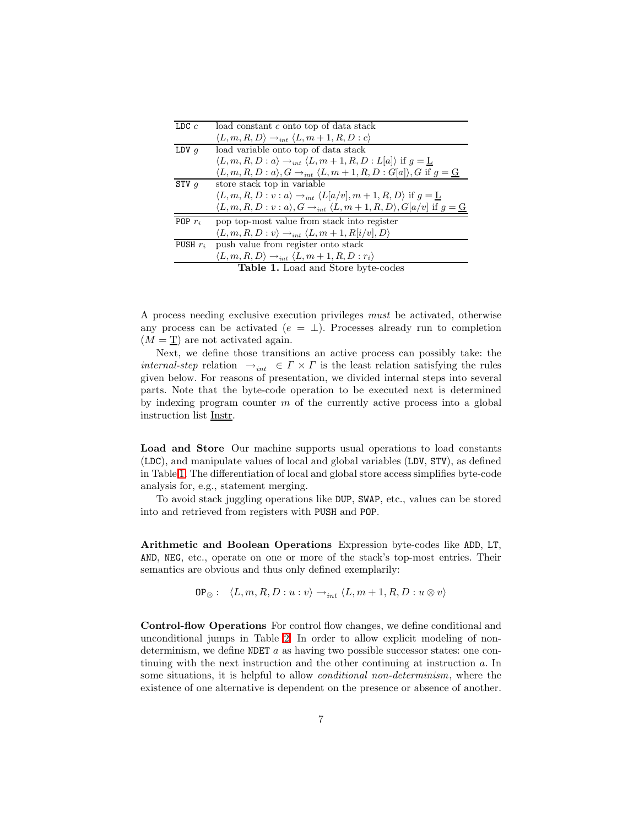| $LDC$ $c$  | load constant c onto top of data stack                                                                                  |
|------------|-------------------------------------------------------------------------------------------------------------------------|
|            | $\langle L, m, R, D \rangle \rightarrow_{int} \langle L, m+1, R, D : c \rangle$                                         |
| LDV $q$    | load variable onto top of data stack                                                                                    |
|            | $\langle L, m, R, D : a \rangle \rightarrow_{int} \langle L, m+1, R, D : L[a] \rangle$ if $g = \underline{L}$           |
|            | $\langle L,m,R,D:a\rangle, G \rightarrow_{int} \langle L,m+1,R,D:G[a]\rangle, G$ if $g = \underline{G}$                 |
| STV q      | store stack top in variable                                                                                             |
|            | $\langle L, m, R, D : v : a \rangle \rightarrow_{int} \langle L[a/v], m+1, R, D \rangle$ if $q = L$                     |
|            | $\langle L, m, R, D : v : a \rangle, G \rightarrow_{int} \langle L, m + 1, R, D \rangle, G[a/v]$ if $g = \underline{G}$ |
| POP $r_i$  | pop top-most value from stack into register                                                                             |
|            | $\langle L, m, R, D : v \rangle \rightarrow_{int} \langle L, m+1, R[i/v], D \rangle$                                    |
| PUSH $r_i$ | push value from register onto stack                                                                                     |
|            | $\langle L, m, R, D \rangle \rightarrow_{int} \langle L, m+1, R, D : r_i \rangle$                                       |
|            | <b>Table 1.</b> Load and Store byte-codes                                                                               |

<span id="page-6-0"></span>A process needing exclusive execution privileges must be activated, otherwise any process can be activated ( $e = \perp$ ). Processes already run to completion  $(M = T)$  are not activated again.

Next, we define those transitions an active process can possibly take: the *internal-step* relation  $\rightarrow_{int} \in \Gamma \times \Gamma$  is the least relation satisfying the rules given below. For reasons of presentation, we divided internal steps into several parts. Note that the byte-code operation to be executed next is determined by indexing program counter  $m$  of the currently active process into a global instruction list Instr.

Load and Store Our machine supports usual operations to load constants (LDC), and manipulate values of local and global variables (LDV, STV), as defined in Table [1.](#page-6-0) The differentiation of local and global store access simplifies byte-code analysis for, e.g., statement merging.

To avoid stack juggling operations like DUP, SWAP, etc., values can be stored into and retrieved from registers with PUSH and POP.

Arithmetic and Boolean Operations Expression byte-codes like ADD, LT, AND, NEG, etc., operate on one or more of the stack's top-most entries. Their semantics are obvious and thus only defined exemplarily:

$$
\texttt{OP}_{\otimes}:\ \ \langle L,m,R,D:u:v\rangle\rightarrow_{int}\langle L,m+1,R,D:u\otimes v\rangle
$$

Control-flow Operations For control flow changes, we define conditional and unconditional jumps in Table [2.](#page-7-0) In order to allow explicit modeling of nondeterminism, we define  $NDET \, a$  as having two possible successor states: one continuing with the next instruction and the other continuing at instruction a. In some situations, it is helpful to allow conditional non-determinism, where the existence of one alternative is dependent on the presence or absence of another.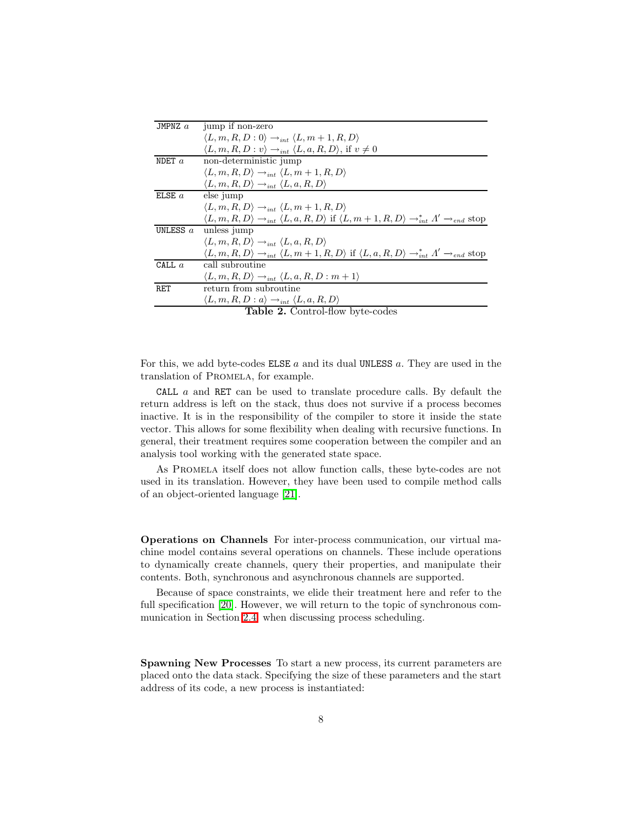| JMPNZ $a$  | jump if non-zero                                                                                                                                                    |
|------------|---------------------------------------------------------------------------------------------------------------------------------------------------------------------|
|            | $\langle L, m, R, D: 0 \rangle \rightarrow_{int} \langle L, m+1, R, D \rangle$                                                                                      |
|            | $\langle L, m, R, D : v \rangle \rightarrow_{int} \langle L, a, R, D \rangle$ , if $v \neq 0$                                                                       |
| NDET $a$   | non-deterministic jump                                                                                                                                              |
|            | $\langle L, m, R, D \rangle \rightarrow_{int} \langle L, m+1, R, D \rangle$                                                                                         |
|            | $\langle L, m, R, D \rangle \rightarrow_{int} \langle L, a, R, D \rangle$                                                                                           |
| ELSE $a$   | else jump                                                                                                                                                           |
|            | $\langle L, m, R, D \rangle \rightarrow_{int} \langle L, m+1, R, D \rangle$                                                                                         |
|            | $\langle L, m, R, D \rangle \rightarrow_{int} \langle L, a, R, D \rangle$ if $\langle L, m + 1, R, D \rangle \rightarrow_{int}^{*} \Lambda' \rightarrow_{end}$ stop |
| UNLESS $a$ | unless jump                                                                                                                                                         |
|            | $\langle L, m, R, D \rangle \rightarrow_{int} \langle L, a, R, D \rangle$                                                                                           |
|            | $\langle L, m, R, D \rangle \rightarrow_{int} \langle L, m+1, R, D \rangle$ if $\langle L, a, R, D \rangle \rightarrow_{int}^{*} \Lambda' \rightarrow_{end}$ stop   |
| CALL $a$   | call subroutine                                                                                                                                                     |
|            | $\langle L, m, R, D \rangle \rightarrow_{int} \langle L, a, R, D : m + 1 \rangle$                                                                                   |
| RET        | return from subroutine                                                                                                                                              |
|            | $\langle L, m, R, D : a \rangle \rightarrow_{int} \langle L, a, R, D \rangle$                                                                                       |
|            | <b>Table 2.</b> Control-flow byte-codes                                                                                                                             |

<span id="page-7-0"></span>For this, we add byte-codes ELSE  $a$  and its dual UNLESS  $a$ . They are used in the translation of Promela, for example.

CALL  $a$  and RET can be used to translate procedure calls. By default the return address is left on the stack, thus does not survive if a process becomes inactive. It is in the responsibility of the compiler to store it inside the state vector. This allows for some flexibility when dealing with recursive functions. In general, their treatment requires some cooperation between the compiler and an analysis tool working with the generated state space.

As Promela itself does not allow function calls, these byte-codes are not used in its translation. However, they have been used to compile method calls of an object-oriented language [\[21\]](#page-16-6).

Operations on Channels For inter-process communication, our virtual machine model contains several operations on channels. These include operations to dynamically create channels, query their properties, and manipulate their contents. Both, synchronous and asynchronous channels are supported.

Because of space constraints, we elide their treatment here and refer to the full specification [\[20\]](#page-16-5). However, we will return to the topic of synchronous communication in Section [2.4,](#page-8-0) when discussing process scheduling.

Spawning New Processes To start a new process, its current parameters are placed onto the data stack. Specifying the size of these parameters and the start address of its code, a new process is instantiated: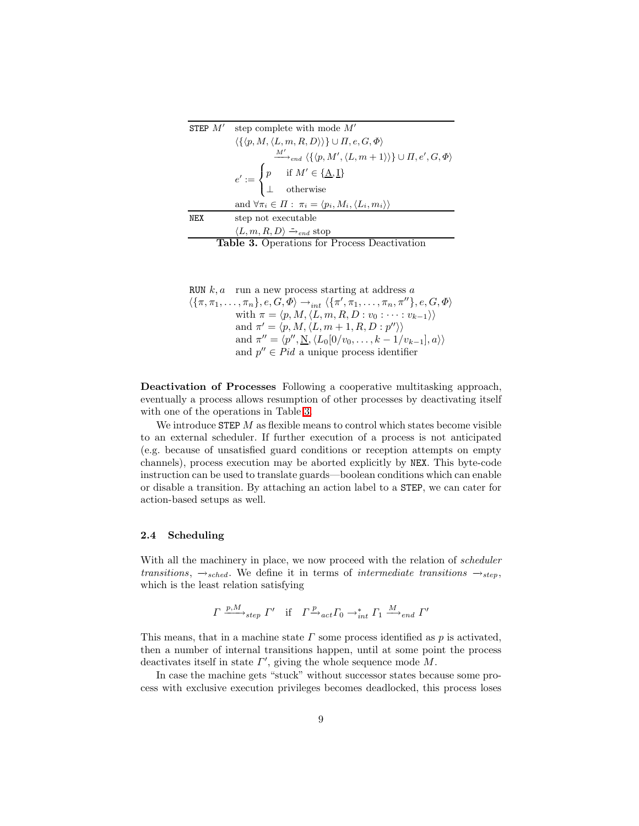|     | <b>STEP</b> $M'$ step complete with mode $M'$                                                                                                                                                                                                                                                                                             |
|-----|-------------------------------------------------------------------------------------------------------------------------------------------------------------------------------------------------------------------------------------------------------------------------------------------------------------------------------------------|
|     | $\langle \{ \langle p, M, \langle L, m, R, D \rangle \rangle \} \cup \Pi, e, G, \Phi \rangle$                                                                                                                                                                                                                                             |
|     | $\stackrel{M'}{\longrightarrow}_{end} \langle \{ \langle p, M', \langle L, m+1 \rangle \} \cup \Pi, e', G, \Phi \rangle$                                                                                                                                                                                                                  |
|     | $e' := \begin{cases} p & \text{if } M' \in \{\underline{A}, \underline{I}\} \\ \bot & \text{otherwise} \end{cases}$                                                                                                                                                                                                                       |
|     |                                                                                                                                                                                                                                                                                                                                           |
|     | and $\forall \pi_i \in \Pi : \pi_i = \langle p_i, M_i, \langle L_i, m_i \rangle \rangle$                                                                                                                                                                                                                                                  |
| NEX | step not executable                                                                                                                                                                                                                                                                                                                       |
|     | $\langle L, m, R, D \rangle \rightarrow_{end}$ stop                                                                                                                                                                                                                                                                                       |
|     | $\mathbf{L}$ . $\mathbf{L}$ . $\mathbf{L}$ . $\mathbf{L}$ . $\mathbf{L}$ . $\mathbf{L}$ . $\mathbf{L}$ . $\mathbf{L}$ . $\mathbf{L}$ . $\mathbf{L}$ . $\mathbf{L}$ . $\mathbf{L}$ . $\mathbf{L}$ . $\mathbf{L}$ . $\mathbf{L}$ . $\mathbf{L}$ . $\mathbf{L}$ . $\mathbf{L}$ . $\mathbf{L}$ . $\mathbf{L}$ . $\mathbf{L}$ . $\mathbf{L}$ . |

<span id="page-8-1"></span>Table 3. Operations for Process Deactivation

RUN 
$$
k, a
$$
 run a new process starting at address  $a$   
\n $\langle {\pi, \pi_1, ..., \pi_n}, e, G, \Phi \rangle \rightarrow_{int} \langle {\pi', \pi_1, ..., \pi_n, \pi''}, e, G, \Phi \rangle$   
\nwith  $\pi = \langle p, M, \langle L, m, R, D : v_0 : \cdots : v_{k-1} \rangle \rangle$   
\nand  $\pi' = \langle p, M, \langle L, m+1, R, D : p'' \rangle \rangle$   
\nand  $\pi'' = \langle p'', \underline{\mathcal{N}}, \langle L_0[0/v_0, ..., k-1/v_{k-1}], a \rangle \rangle$   
\nand  $p'' \in Pid$  a unique process identifier

Deactivation of Processes Following a cooperative multitasking approach, eventually a process allows resumption of other processes by deactivating itself with one of the operations in Table [3.](#page-8-1)

We introduce  $\text{STEP } M$  as flexible means to control which states become visible to an external scheduler. If further execution of a process is not anticipated (e.g. because of unsatisfied guard conditions or reception attempts on empty channels), process execution may be aborted explicitly by NEX. This byte-code instruction can be used to translate guards—boolean conditions which can enable or disable a transition. By attaching an action label to a STEP, we can cater for action-based setups as well.

## <span id="page-8-0"></span>2.4 Scheduling

With all the machinery in place, we now proceed with the relation of *scheduler* transitions,  $\rightarrow$ <sub>sched</sub>. We define it in terms of *intermediate transitions*  $\rightarrow$ <sub>step</sub>, which is the least relation satisfying

$$
\varGamma\xrightarrow{p,M}{}_{step}\varGamma'\quad \text{if}\quad \varGamma\xrightarrow{p}{}_{act}\varGamma_0\rightarrow^*_{int}\varGamma_1\xrightarrow{M}{}_{end}\varGamma'
$$

This means, that in a machine state  $\Gamma$  some process identified as  $p$  is activated, then a number of internal transitions happen, until at some point the process deactivates itself in state  $\Gamma'$ , giving the whole sequence mode  $M$ .

In case the machine gets "stuck" without successor states because some process with exclusive execution privileges becomes deadlocked, this process loses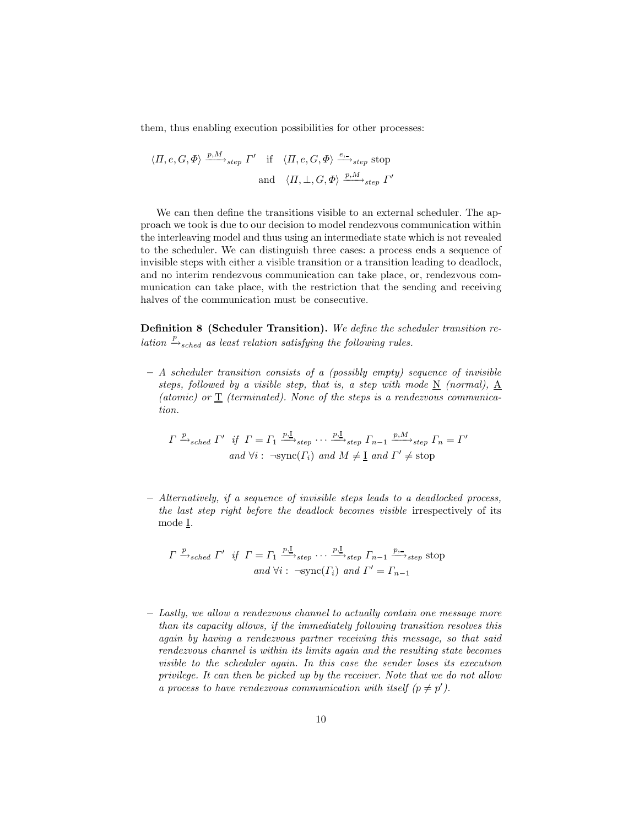them, thus enabling execution possibilities for other processes:

$$
\langle \Pi, e, G, \Phi \rangle \xrightarrow{p, M} \text{step } \Gamma' \quad \text{if} \quad \langle \Pi, e, G, \Phi \rangle \xrightarrow{e, -} \text{step stop}
$$
\n
$$
\text{and} \quad \langle \Pi, \bot, G, \Phi \rangle \xrightarrow{p, M} \text{step } \Gamma'
$$

We can then define the transitions visible to an external scheduler. The approach we took is due to our decision to model rendezvous communication within the interleaving model and thus using an intermediate state which is not revealed to the scheduler. We can distinguish three cases: a process ends a sequence of invisible steps with either a visible transition or a transition leading to deadlock, and no interim rendezvous communication can take place, or, rendezvous communication can take place, with the restriction that the sending and receiving halves of the communication must be consecutive.

Definition 8 (Scheduler Transition). We define the scheduler transition relation  $\stackrel{p}{\rightarrow}_{\text{sched}}$  as least relation satisfying the following rules.

 $- A$  scheduler transition consists of a (possibly empty) sequence of invisible steps, followed by a visible step, that is, a step with mode  $N$  (normal),  $A$ (atomic) or  $\underline{T}$  (terminated). None of the steps is a rendezvous communication.

$$
\Gamma \xrightarrow{p}_{\text{sched}} \Gamma' \quad \text{if} \quad \Gamma = \Gamma_1 \xrightarrow{p, \underline{\mathbf{I}}}_{\text{step}} \cdots \xrightarrow{p, \underline{\mathbf{I}}}_{\text{step}} \Gamma_{n-1} \xrightarrow{p, M} \text{step} \Gamma_n = \Gamma'
$$
\n
$$
\text{and } \forall i : \neg \text{sync}(\Gamma_i) \text{ and } M \neq \underline{\mathbf{I}} \text{ and } \Gamma' \neq \text{stop}
$$

 $-$  Alternatively, if a sequence of invisible steps leads to a deadlocked process, the last step right before the deadlock becomes visible irrespectively of its mode I.

$$
\Gamma \xrightarrow{p}_{\text{sched}} \Gamma' \text{ if } \Gamma = \Gamma_1 \xrightarrow{p, \underline{I}}_{\text{step}} \cdots \xrightarrow{p, \underline{I}}_{\text{step}} \Gamma_{n-1} \xrightarrow{p, -}_{\text{step}} \text{stop}
$$
\n
$$
and \ \forall i : \neg \text{sync}(\Gamma_i) \ and \ \Gamma' = \Gamma_{n-1}
$$

– Lastly, we allow a rendezvous channel to actually contain one message more than its capacity allows, if the immediately following transition resolves this again by having a rendezvous partner receiving this message, so that said rendezvous channel is within its limits again and the resulting state becomes visible to the scheduler again. In this case the sender loses its execution privilege. It can then be picked up by the receiver. Note that we do not allow a process to have rendezvous communication with itself  $(p \neq p')$ .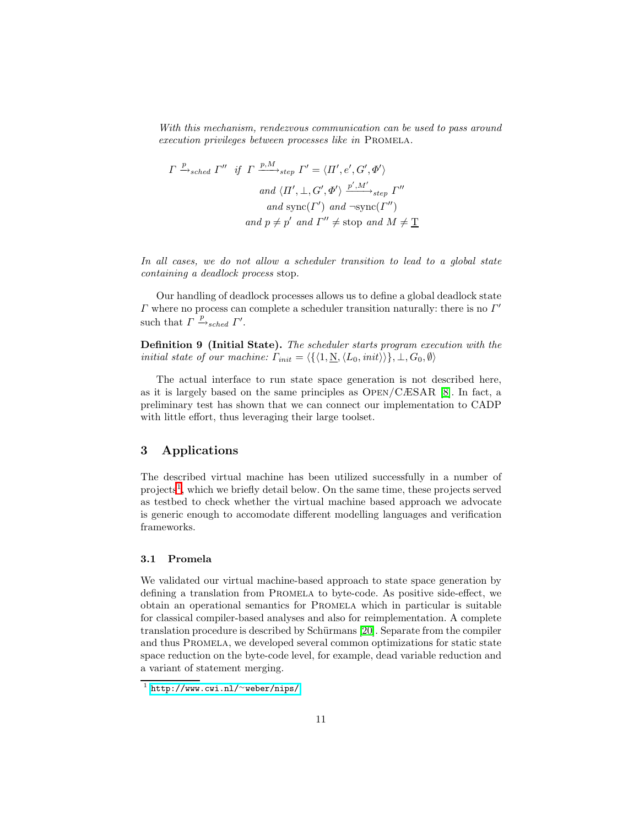With this mechanism, rendezvous communication can be used to pass around execution privileges between processes like in PROMELA.

$$
\Gamma \xrightarrow{p} \text{sched } \Gamma'' \quad \text{if} \quad \Gamma \xrightarrow{p,M} \text{step } \Gamma' = \langle \Pi', e', G', \Phi' \rangle
$$
\n
$$
\text{and } \langle \Pi', \bot, G', \Phi' \rangle \xrightarrow{p', M'} \text{step } \Gamma''
$$
\n
$$
\text{and } \text{sync}(\Gamma') \text{ and } \neg \text{sync}(\Gamma'')
$$
\n
$$
\text{and } p \neq p' \text{ and } \Gamma'' \neq \text{stop and } M \neq \underline{T}
$$

In all cases, we do not allow a scheduler transition to lead to a global state containing a deadlock process stop.

Our handling of deadlock processes allows us to define a global deadlock state  $\Gamma$  where no process can complete a scheduler transition naturally: there is no  $\Gamma'$ such that  $\Gamma \stackrel{p}{\rightarrow} _{sched} \Gamma'$ .

Definition 9 (Initial State). The scheduler starts program execution with the *initial state of our machine:*  $\Gamma_{init} = \langle \{ \langle 1, \underline{N}, \langle L_0, init \rangle \} \rangle, \bot, G_0, \emptyset \rangle$ 

The actual interface to run state space generation is not described here, as it is largely based on the same principles as Open/CÆSAR [\[8\]](#page-16-7). In fact, a preliminary test has shown that we can connect our implementation to CADP with little effort, thus leveraging their large toolset.

# <span id="page-10-0"></span>3 Applications

The described virtual machine has been utilized successfully in a number of projects<sup>[1](#page-10-1)</sup>, which we briefly detail below. On the same time, these projects served as testbed to check whether the virtual machine based approach we advocate is generic enough to accomodate different modelling languages and verification frameworks.

## <span id="page-10-2"></span>3.1 Promela

We validated our virtual machine-based approach to state space generation by defining a translation from Promela to byte-code. As positive side-effect, we obtain an operational semantics for Promela which in particular is suitable for classical compiler-based analyses and also for reimplementation. A complete translation procedure is described by Schürmans [\[20\]](#page-16-5). Separate from the compiler and thus Promela, we developed several common optimizations for static state space reduction on the byte-code level, for example, dead variable reduction and a variant of statement merging.

<span id="page-10-1"></span><sup>1</sup> [http://www.cwi.nl/](http://www.cwi.nl/~weber/nips/)<sup>∼</sup>weber/nips/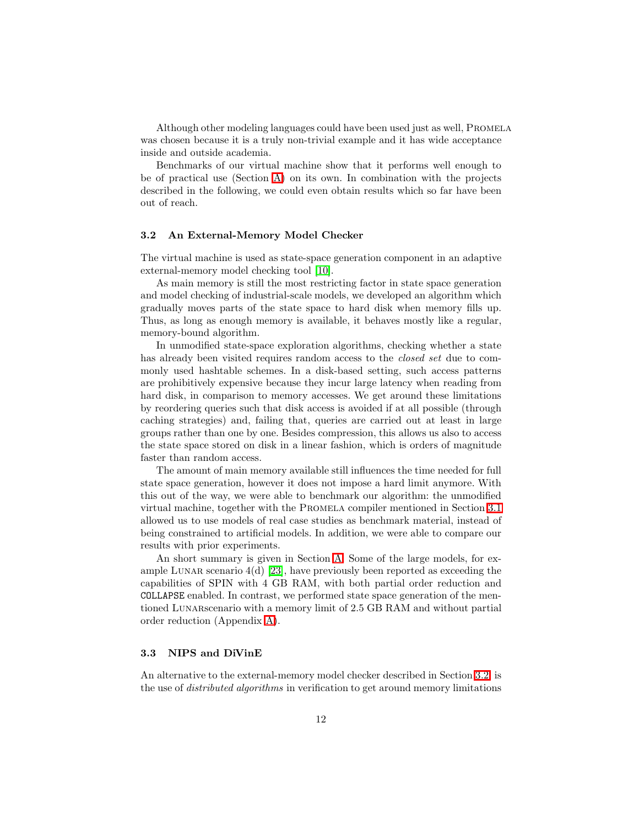Although other modeling languages could have been used just as well, Promela was chosen because it is a truly non-trivial example and it has wide acceptance inside and outside academia.

Benchmarks of our virtual machine show that it performs well enough to be of practical use (Section [A\)](#page-17-0) on its own. In combination with the projects described in the following, we could even obtain results which so far have been out of reach.

## <span id="page-11-0"></span>3.2 An External-Memory Model Checker

The virtual machine is used as state-space generation component in an adaptive external-memory model checking tool [\[10\]](#page-16-8).

As main memory is still the most restricting factor in state space generation and model checking of industrial-scale models, we developed an algorithm which gradually moves parts of the state space to hard disk when memory fills up. Thus, as long as enough memory is available, it behaves mostly like a regular, memory-bound algorithm.

In unmodified state-space exploration algorithms, checking whether a state has already been visited requires random access to the *closed set* due to commonly used hashtable schemes. In a disk-based setting, such access patterns are prohibitively expensive because they incur large latency when reading from hard disk, in comparison to memory accesses. We get around these limitations by reordering queries such that disk access is avoided if at all possible (through caching strategies) and, failing that, queries are carried out at least in large groups rather than one by one. Besides compression, this allows us also to access the state space stored on disk in a linear fashion, which is orders of magnitude faster than random access.

The amount of main memory available still influences the time needed for full state space generation, however it does not impose a hard limit anymore. With this out of the way, we were able to benchmark our algorithm: the unmodified virtual machine, together with the Promela compiler mentioned in Section [3.1](#page-10-2) allowed us to use models of real case studies as benchmark material, instead of being constrained to artificial models. In addition, we were able to compare our results with prior experiments.

An short summary is given in Section [A.](#page-17-0) Some of the large models, for example LUNAR scenario  $4(d)$  [\[23\]](#page-16-9), have previously been reported as exceeding the capabilities of SPIN with 4 GB RAM, with both partial order reduction and COLLAPSE enabled. In contrast, we performed state space generation of the mentioned Lunarscenario with a memory limit of 2.5 GB RAM and without partial order reduction (Appendix [A\)](#page-17-0).

## 3.3 NIPS and DiVinE

An alternative to the external-memory model checker described in Section [3.2,](#page-11-0) is the use of distributed algorithms in verification to get around memory limitations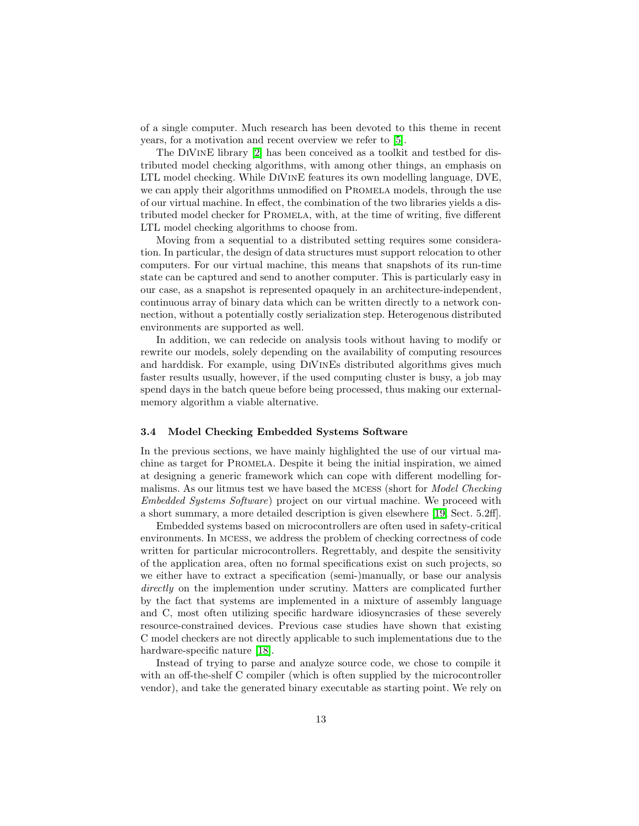of a single computer. Much research has been devoted to this theme in recent years, for a motivation and recent overview we refer to [\[5\]](#page-15-3).

The DiVinE library [\[2\]](#page-15-4) has been conceived as a toolkit and testbed for distributed model checking algorithms, with among other things, an emphasis on LTL model checking. While DiVinE features its own modelling language, DVE, we can apply their algorithms unmodified on PROMELA models, through the use of our virtual machine. In effect, the combination of the two libraries yields a distributed model checker for Promela, with, at the time of writing, five different LTL model checking algorithms to choose from.

Moving from a sequential to a distributed setting requires some consideration. In particular, the design of data structures must support relocation to other computers. For our virtual machine, this means that snapshots of its run-time state can be captured and send to another computer. This is particularly easy in our case, as a snapshot is represented opaquely in an architecture-independent, continuous array of binary data which can be written directly to a network connection, without a potentially costly serialization step. Heterogenous distributed environments are supported as well.

In addition, we can redecide on analysis tools without having to modify or rewrite our models, solely depending on the availability of computing resources and harddisk. For example, using DiVinEs distributed algorithms gives much faster results usually, however, if the used computing cluster is busy, a job may spend days in the batch queue before being processed, thus making our externalmemory algorithm a viable alternative.

#### <span id="page-12-0"></span>3.4 Model Checking Embedded Systems Software

In the previous sections, we have mainly highlighted the use of our virtual machine as target for Promela. Despite it being the initial inspiration, we aimed at designing a generic framework which can cope with different modelling formalisms. As our litmus test we have based the MCESS (short for *Model Checking* Embedded Systems Software) project on our virtual machine. We proceed with a short summary, a more detailed description is given elsewhere [\[19,](#page-16-10) Sect. 5.2ff].

Embedded systems based on microcontrollers are often used in safety-critical environments. In mcess, we address the problem of checking correctness of code written for particular microcontrollers. Regrettably, and despite the sensitivity of the application area, often no formal specifications exist on such projects, so we either have to extract a specification (semi-)manually, or base our analysis directly on the implemention under scrutiny. Matters are complicated further by the fact that systems are implemented in a mixture of assembly language and C, most often utilizing specific hardware idiosyncrasies of these severely resource-constrained devices. Previous case studies have shown that existing C model checkers are not directly applicable to such implementations due to the hardware-specific nature [\[18\]](#page-16-11).

Instead of trying to parse and analyze source code, we chose to compile it with an off-the-shelf C compiler (which is often supplied by the microcontroller vendor), and take the generated binary executable as starting point. We rely on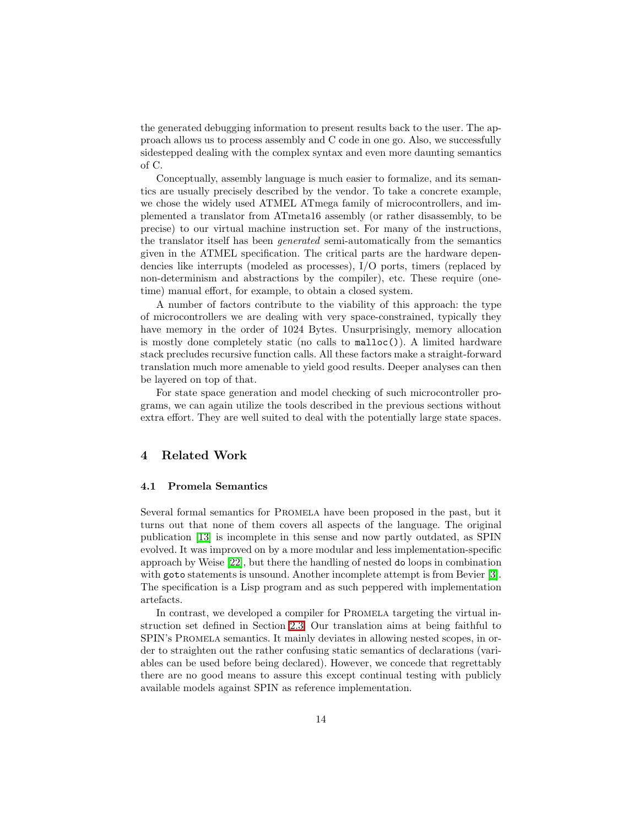the generated debugging information to present results back to the user. The approach allows us to process assembly and C code in one go. Also, we successfully sidestepped dealing with the complex syntax and even more daunting semantics of C.

Conceptually, assembly language is much easier to formalize, and its semantics are usually precisely described by the vendor. To take a concrete example, we chose the widely used ATMEL ATmega family of microcontrollers, and implemented a translator from ATmeta16 assembly (or rather disassembly, to be precise) to our virtual machine instruction set. For many of the instructions, the translator itself has been generated semi-automatically from the semantics given in the ATMEL specification. The critical parts are the hardware dependencies like interrupts (modeled as processes), I/O ports, timers (replaced by non-determinism and abstractions by the compiler), etc. These require (onetime) manual effort, for example, to obtain a closed system.

A number of factors contribute to the viability of this approach: the type of microcontrollers we are dealing with very space-constrained, typically they have memory in the order of 1024 Bytes. Unsurprisingly, memory allocation is mostly done completely static (no calls to  $\text{malloc}()$ ). A limited hardware stack precludes recursive function calls. All these factors make a straight-forward translation much more amenable to yield good results. Deeper analyses can then be layered on top of that.

For state space generation and model checking of such microcontroller programs, we can again utilize the tools described in the previous sections without extra effort. They are well suited to deal with the potentially large state spaces.

# <span id="page-13-0"></span>4 Related Work

#### 4.1 Promela Semantics

Several formal semantics for Promela have been proposed in the past, but it turns out that none of them covers all aspects of the language. The original publication [\[13\]](#page-16-2) is incomplete in this sense and now partly outdated, as SPIN evolved. It was improved on by a more modular and less implementation-specific approach by Weise [\[22\]](#page-16-12), but there the handling of nested do loops in combination with goto statements is unsound. Another incomplete attempt is from Bevier [\[3\]](#page-15-5). The specification is a Lisp program and as such peppered with implementation artefacts.

In contrast, we developed a compiler for PROMELA targeting the virtual instruction set defined in Section [2.3.](#page-5-0) Our translation aims at being faithful to SPIN's Promela semantics. It mainly deviates in allowing nested scopes, in order to straighten out the rather confusing static semantics of declarations (variables can be used before being declared). However, we concede that regrettably there are no good means to assure this except continual testing with publicly available models against SPIN as reference implementation.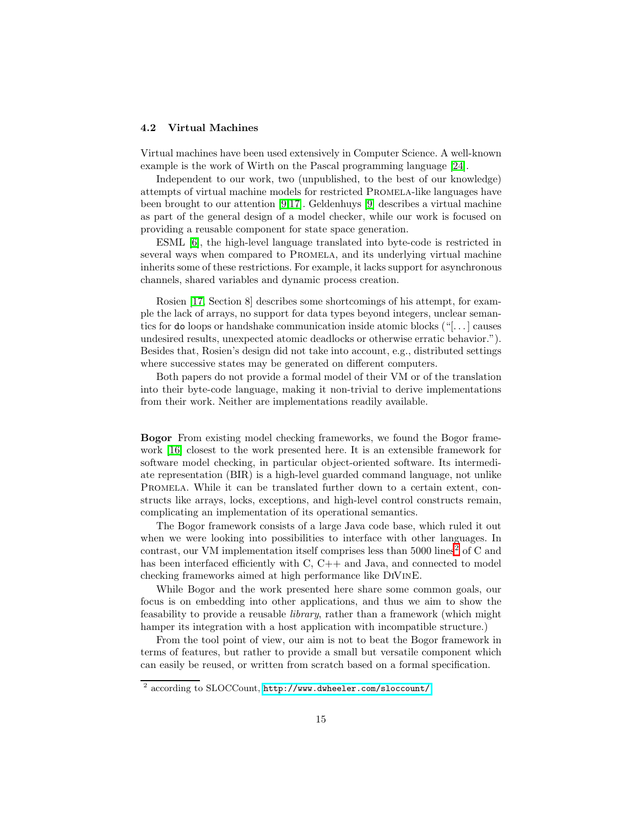#### 4.2 Virtual Machines

Virtual machines have been used extensively in Computer Science. A well-known example is the work of Wirth on the Pascal programming language [\[24\]](#page-16-13).

Independent to our work, two (unpublished, to the best of our knowledge) attempts of virtual machine models for restricted Promela-like languages have been brought to our attention [\[9,](#page-16-14)[17\]](#page-16-15). Geldenhuys [\[9\]](#page-16-14) describes a virtual machine as part of the general design of a model checker, while our work is focused on providing a reusable component for state space generation.

ESML [\[6\]](#page-16-16), the high-level language translated into byte-code is restricted in several ways when compared to Promela, and its underlying virtual machine inherits some of these restrictions. For example, it lacks support for asynchronous channels, shared variables and dynamic process creation.

Rosien [\[17,](#page-16-15) Section 8] describes some shortcomings of his attempt, for example the lack of arrays, no support for data types beyond integers, unclear semantics for do loops or handshake communication inside atomic blocks ("[. . . ] causes undesired results, unexpected atomic deadlocks or otherwise erratic behavior."). Besides that, Rosien's design did not take into account, e.g., distributed settings where successive states may be generated on different computers.

Both papers do not provide a formal model of their VM or of the translation into their byte-code language, making it non-trivial to derive implementations from their work. Neither are implementations readily available.

Bogor From existing model checking frameworks, we found the Bogor framework [\[16\]](#page-16-17) closest to the work presented here. It is an extensible framework for software model checking, in particular object-oriented software. Its intermediate representation (BIR) is a high-level guarded command language, not unlike PROMELA. While it can be translated further down to a certain extent, constructs like arrays, locks, exceptions, and high-level control constructs remain, complicating an implementation of its operational semantics.

The Bogor framework consists of a large Java code base, which ruled it out when we were looking into possibilities to interface with other languages. In contrast, our VM implementation itself comprises less than  $5000$  lines<sup>[2](#page-14-0)</sup> of C and has been interfaced efficiently with C, C++ and Java, and connected to model checking frameworks aimed at high performance like DiVinE.

While Bogor and the work presented here share some common goals, our focus is on embedding into other applications, and thus we aim to show the feasability to provide a reusable library, rather than a framework (which might hamper its integration with a host application with incompatible structure.)

From the tool point of view, our aim is not to beat the Bogor framework in terms of features, but rather to provide a small but versatile component which can easily be reused, or written from scratch based on a formal specification.

<span id="page-14-0"></span><sup>2</sup> according to SLOCCount, <http://www.dwheeler.com/sloccount/>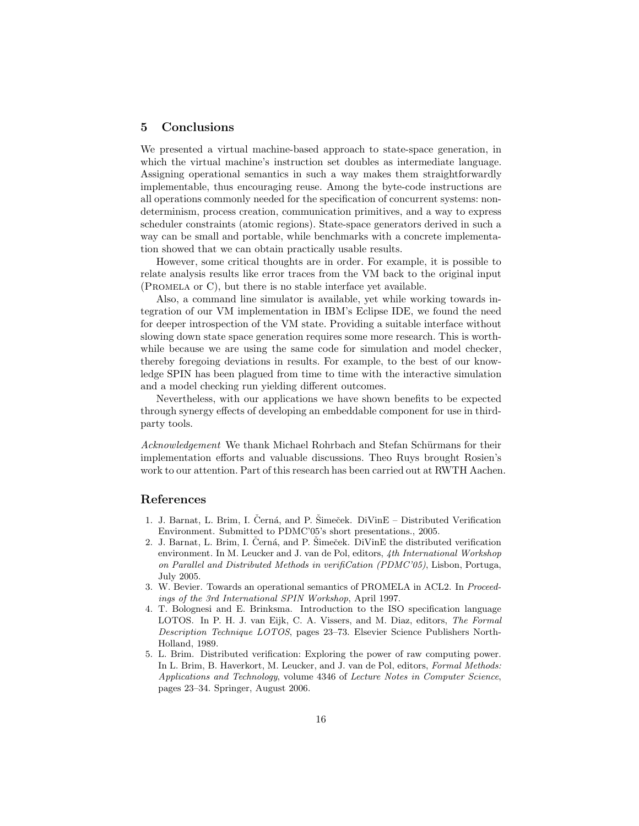## <span id="page-15-2"></span>5 Conclusions

We presented a virtual machine-based approach to state-space generation, in which the virtual machine's instruction set doubles as intermediate language. Assigning operational semantics in such a way makes them straightforwardly implementable, thus encouraging reuse. Among the byte-code instructions are all operations commonly needed for the specification of concurrent systems: nondeterminism, process creation, communication primitives, and a way to express scheduler constraints (atomic regions). State-space generators derived in such a way can be small and portable, while benchmarks with a concrete implementation showed that we can obtain practically usable results.

However, some critical thoughts are in order. For example, it is possible to relate analysis results like error traces from the VM back to the original input (Promela or C), but there is no stable interface yet available.

Also, a command line simulator is available, yet while working towards integration of our VM implementation in IBM's Eclipse IDE, we found the need for deeper introspection of the VM state. Providing a suitable interface without slowing down state space generation requires some more research. This is worthwhile because we are using the same code for simulation and model checker, thereby foregoing deviations in results. For example, to the best of our knowledge SPIN has been plagued from time to time with the interactive simulation and a model checking run yielding different outcomes.

Nevertheless, with our applications we have shown benefits to be expected through synergy effects of developing an embeddable component for use in thirdparty tools.

Acknowledgement We thank Michael Rohrbach and Stefan Schürmans for their implementation efforts and valuable discussions. Theo Ruys brought Rosien's work to our attention. Part of this research has been carried out at RWTH Aachen.

## <span id="page-15-1"></span>References

- 1. J. Barnat, L. Brim, I. Černá, and P. Šimeček. DiVinE Distributed Verification Environment. Submitted to PDMC'05's short presentations., 2005.
- <span id="page-15-4"></span>2. J. Barnat, L. Brim, I. Černá, and P. Šimeček. DiVinE the distributed verification environment. In M. Leucker and J. van de Pol, editors, 4th International Workshop on Parallel and Distributed Methods in verifiCation (PDMC'05), Lisbon, Portuga, July 2005.
- <span id="page-15-5"></span>3. W. Bevier. Towards an operational semantics of PROMELA in ACL2. In Proceedings of the 3rd International SPIN Workshop, April 1997.
- <span id="page-15-0"></span>4. T. Bolognesi and E. Brinksma. Introduction to the ISO specification language LOTOS. In P. H. J. van Eijk, C. A. Vissers, and M. Diaz, editors, The Formal Description Technique LOTOS, pages 23–73. Elsevier Science Publishers North-Holland, 1989.
- <span id="page-15-3"></span>5. L. Brim. Distributed verification: Exploring the power of raw computing power. In L. Brim, B. Haverkort, M. Leucker, and J. van de Pol, editors, Formal Methods: Applications and Technology, volume 4346 of Lecture Notes in Computer Science, pages 23–34. Springer, August 2006.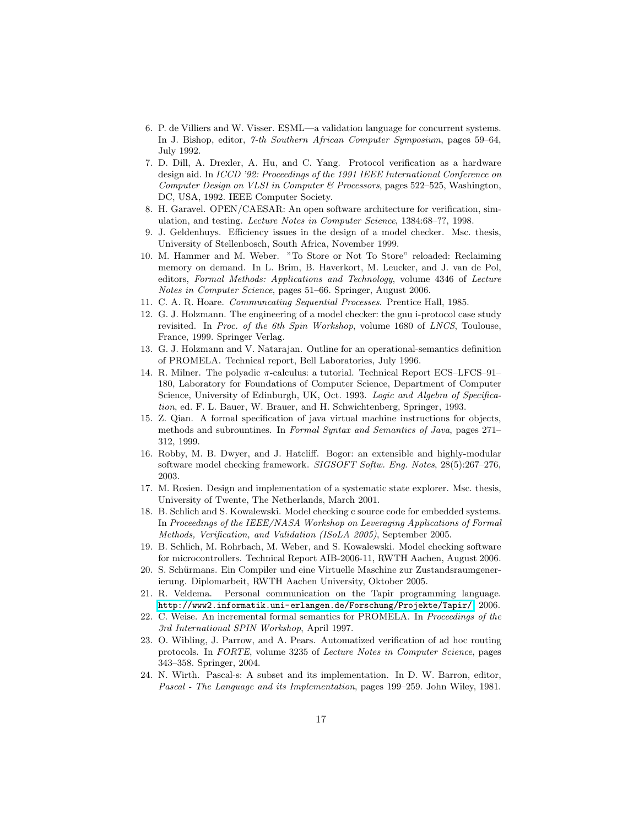- <span id="page-16-16"></span>6. P. de Villiers and W. Visser. ESML—a validation language for concurrent systems. In J. Bishop, editor, 7-th Southern African Computer Symposium, pages 59–64, July 1992.
- <span id="page-16-1"></span>7. D. Dill, A. Drexler, A. Hu, and C. Yang. Protocol verification as a hardware design aid. In ICCD '92: Proceedings of the 1991 IEEE International Conference on Computer Design on VLSI in Computer  $\mathcal C$  Processors, pages 522–525, Washington, DC, USA, 1992. IEEE Computer Society.
- <span id="page-16-14"></span><span id="page-16-7"></span>8. H. Garavel. OPEN/CAESAR: An open software architecture for verification, simulation, and testing. Lecture Notes in Computer Science, 1384:68–??, 1998.
- 9. J. Geldenhuys. Efficiency issues in the design of a model checker. Msc. thesis, University of Stellenbosch, South Africa, November 1999.
- <span id="page-16-8"></span>10. M. Hammer and M. Weber. "To Store or Not To Store" reloaded: Reclaiming memory on demand. In L. Brim, B. Haverkort, M. Leucker, and J. van de Pol, editors, Formal Methods: Applications and Technology, volume 4346 of Lecture Notes in Computer Science, pages 51–66. Springer, August 2006.
- <span id="page-16-18"></span><span id="page-16-0"></span>11. C. A. R. Hoare. Communcating Sequential Processes. Prentice Hall, 1985.
- 12. G. J. Holzmann. The engineering of a model checker: the gnu i-protocol case study revisited. In Proc. of the 6th Spin Workshop, volume 1680 of LNCS, Toulouse, France, 1999. Springer Verlag.
- <span id="page-16-2"></span>13. G. J. Holzmann and V. Natarajan. Outline for an operational-semantics definition of PROMELA. Technical report, Bell Laboratories, July 1996.
- <span id="page-16-4"></span>14. R. Milner. The polyadic  $\pi$ -calculus: a tutorial. Technical Report ECS–LFCS–91– 180, Laboratory for Foundations of Computer Science, Department of Computer Science, University of Edinburgh, UK, Oct. 1993. Logic and Algebra of Specification, ed. F. L. Bauer, W. Brauer, and H. Schwichtenberg, Springer, 1993.
- <span id="page-16-3"></span>15. Z. Qian. A formal specification of java virtual machine instructions for objects, methods and subrountines. In Formal Syntax and Semantics of Java, pages 271– 312, 1999.
- <span id="page-16-17"></span>16. Robby, M. B. Dwyer, and J. Hatcliff. Bogor: an extensible and highly-modular software model checking framework. SIGSOFT Softw. Eng. Notes, 28(5):267–276, 2003.
- <span id="page-16-15"></span>17. M. Rosien. Design and implementation of a systematic state explorer. Msc. thesis, University of Twente, The Netherlands, March 2001.
- <span id="page-16-11"></span>18. B. Schlich and S. Kowalewski. Model checking c source code for embedded systems. In Proceedings of the IEEE/NASA Workshop on Leveraging Applications of Formal Methods, Verification, and Validation (ISoLA 2005), September 2005.
- <span id="page-16-10"></span>19. B. Schlich, M. Rohrbach, M. Weber, and S. Kowalewski. Model checking software for microcontrollers. Technical Report AIB-2006-11, RWTH Aachen, August 2006.
- <span id="page-16-5"></span>20. S. Schürmans. Ein Compiler und eine Virtuelle Maschine zur Zustandsraumgenerierung. Diplomarbeit, RWTH Aachen University, Oktober 2005.
- <span id="page-16-6"></span>21. R. Veldema. Personal communication on the Tapir programming language. <http://www2.informatik.uni-erlangen.de/Forschung/Projekte/Tapir/>, 2006.
- <span id="page-16-12"></span>22. C. Weise. An incremental formal semantics for PROMELA. In Proceedings of the 3rd International SPIN Workshop, April 1997.
- <span id="page-16-9"></span>23. O. Wibling, J. Parrow, and A. Pears. Automatized verification of ad hoc routing protocols. In FORTE, volume 3235 of Lecture Notes in Computer Science, pages 343–358. Springer, 2004.
- <span id="page-16-13"></span>24. N. Wirth. Pascal-s: A subset and its implementation. In D. W. Barron, editor, Pascal - The Language and its Implementation, pages 199–259. John Wiley, 1981.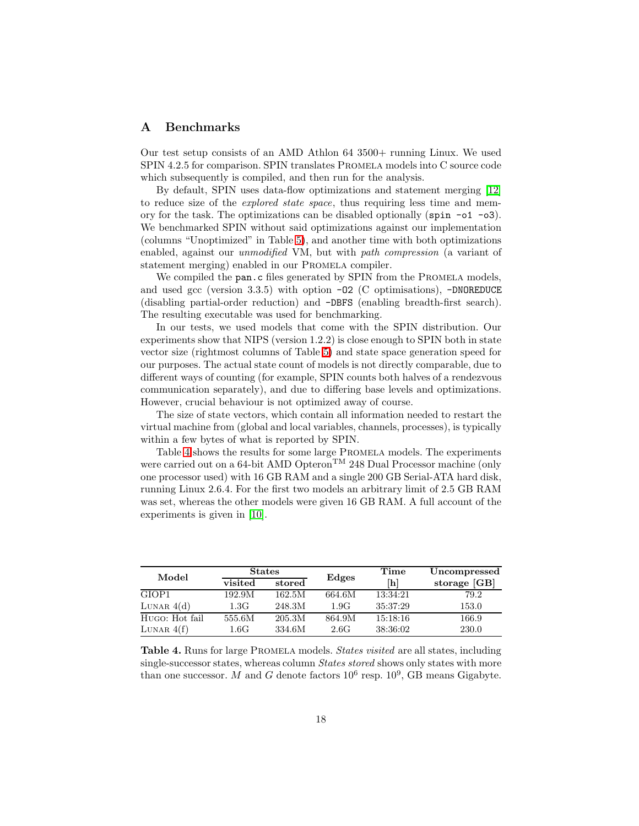## <span id="page-17-0"></span>A Benchmarks

Our test setup consists of an AMD Athlon 64 3500+ running Linux. We used SPIN 4.2.5 for comparison. SPIN translates Promela models into C source code which subsequently is compiled, and then run for the analysis.

By default, SPIN uses data-flow optimizations and statement merging [\[12\]](#page-16-18) to reduce size of the explored state space, thus requiring less time and memory for the task. The optimizations can be disabled optionally (spin  $-01$  -o3). We benchmarked SPIN without said optimizations against our implementation (columns "Unoptimized" in Table [5\)](#page-18-0), and another time with both optimizations enabled, against our unmodified VM, but with path compression (a variant of statement merging) enabled in our PROMELA compiler.

We compiled the pan.c files generated by SPIN from the PROMELA models, and used gcc (version 3.3.5) with option  $\neg$  Q2 (C optimisations),  $\neg$ DNOREDUCE (disabling partial-order reduction) and -DBFS (enabling breadth-first search). The resulting executable was used for benchmarking.

In our tests, we used models that come with the SPIN distribution. Our experiments show that NIPS (version 1.2.2) is close enough to SPIN both in state vector size (rightmost columns of Table [5\)](#page-18-0) and state space generation speed for our purposes. The actual state count of models is not directly comparable, due to different ways of counting (for example, SPIN counts both halves of a rendezvous communication separately), and due to differing base levels and optimizations. However, crucial behaviour is not optimized away of course.

The size of state vectors, which contain all information needed to restart the virtual machine from (global and local variables, channels, processes), is typically within a few bytes of what is reported by SPIN.

Table [4](#page-17-1) shows the results for some large Promela models. The experiments were carried out on a 64-bit AMD Opteron<sup>TM</sup> 248 Dual Processor machine (only one processor used) with 16 GB RAM and a single 200 GB Serial-ATA hard disk, running Linux 2.6.4. For the first two models an arbitrary limit of 2.5 GB RAM was set, whereas the other models were given 16 GB RAM. A full account of the experiments is given in [\[10\]](#page-16-8).

| Model          |         | <b>States</b> |        | Time     | Uncompressed |  |  |  |  |
|----------------|---------|---------------|--------|----------|--------------|--|--|--|--|
|                | visited | stored        | Edges  | hl       | storage [GB] |  |  |  |  |
| GIOP1          | 192.9M  | 162.5M        | 664.6M | 13:34:21 | 79.2         |  |  |  |  |
| LUNAR $4(d)$   | 1.3G    | 248.3M        | 1.9G   | 35:37:29 | 153.0        |  |  |  |  |
| HUGO: Hot fail | 555.6M  | 205.3M        | 864.9M | 15:18:16 | 166.9        |  |  |  |  |
| LUNAR $4(f)$   | 1.6G    | 334.6M        | 2.6G   | 38:36:02 | 230.0        |  |  |  |  |

<span id="page-17-1"></span>Table 4. Runs for large PROMELA models. States visited are all states, including single-successor states, whereas column *States stored* shows only states with more than one successor. M and G denote factors  $10^6$  resp.  $10^9$ , GB means Gigabyte.